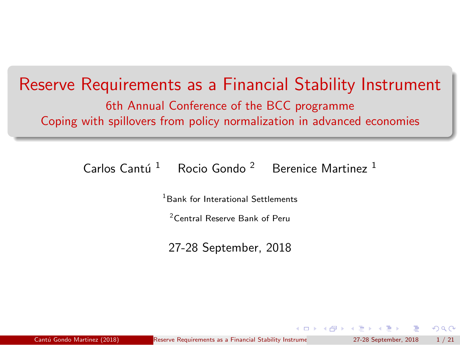#### <span id="page-0-0"></span>Reserve Requirements as a Financial Stability Instrument 6th Annual Conference of the BCC programme

Coping with spillovers from policy normalization in advanced economies

Carlos Cantú<sup>1</sup> Rocio Gondo <sup>2</sup> Berenice Martinez<sup>1</sup>

<sup>1</sup> Bank for Interational Settlements

<sup>2</sup>Central Reserve Bank of Peru

27-28 September, 2018

 $\Omega$ 

 $\left\{ \left\{ \left. \left| \left. \left| \left. \left| \left. \left| \right. \right| \right| \right| \right| \right\} \right| \right\} \left\{ \left. \left| \left. \left| \left. \right| \right| \right| \right\} \right\} \right\}$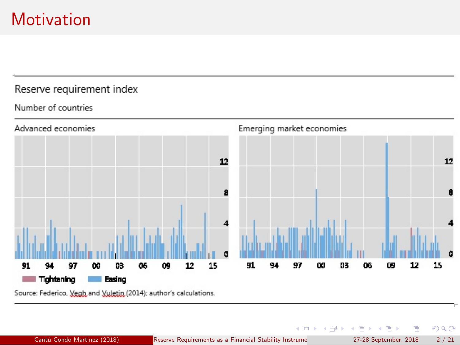# <span id="page-1-0"></span>**Motivation**

#### Reserve requirement index

#### Number of countries



Source: Federico, Vegh and Vuletin (2014); author's calculations.

Ε

舌

 $299$ 

 $\left\{ \begin{array}{ccc} 1 & 0 & 0 \\ 0 & 1 & 0 \end{array} \right\}$  ,  $\left\{ \begin{array}{ccc} 0 & 0 & 0 \\ 0 & 0 & 0 \end{array} \right\}$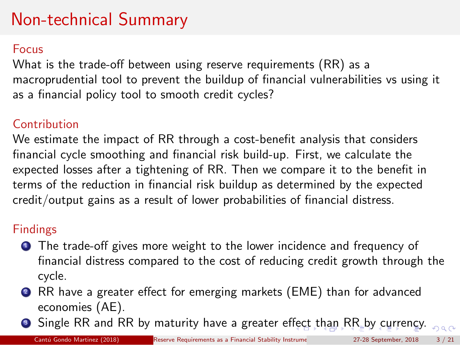# <span id="page-2-0"></span>Non-technical Summary

#### Focus

What is the trade-off between using reserve requirements (RR) as a macroprudential tool to prevent the buildup of financial vulnerabilities vs using it as a financial policy tool to smooth credit cycles?

#### **Contribution**

We estimate the impact of RR through a cost-benefit analysis that considers financial cycle smoothing and financial risk build-up. First, we calculate the expected losses after a tightening of RR. Then we compare it to the benefit in terms of the reduction in financial risk buildup as determined by the expected credit/output gains as a result of lower probabilities of financial distress.

#### Findings

- **1** The trade-off gives more weight to the lower incidence and frequency of financial distress compared to the cost of reducing credit growth through the cycle.
- <sup>2</sup> RR have a greater effect for emerging markets (EME) than for advanced economies (AE).
- **3** Single RR and RR by maturity have a greater e[ffec](#page-1-0)[t t](#page-3-0)[h](#page-1-0)[an](#page-2-0)[RR](#page-0-0) [by](#page-20-0) [cu](#page-0-0)[rr](#page-20-0)[en](#page-0-0)[cy.](#page-20-0)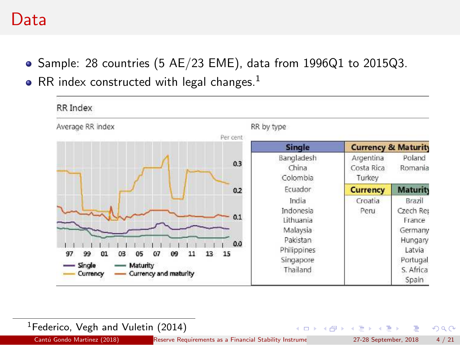#### <span id="page-3-0"></span>Data

- Sample: 28 countries (5  $AE/23$  EME), data from 1996Q1 to 2015Q3.
- RR index constructed with legal changes.<sup>1</sup>



#### <sup>1</sup>Federico, Vegh and Vuletin (2014)

舌

 $QQ$ 

 $\left\{ \begin{array}{ccc} 1 & 0 & 0 \\ 0 & 1 & 0 \end{array} \right\}$  ,  $\left\{ \begin{array}{ccc} 0 & 0 & 0 \\ 0 & 0 & 0 \end{array} \right\}$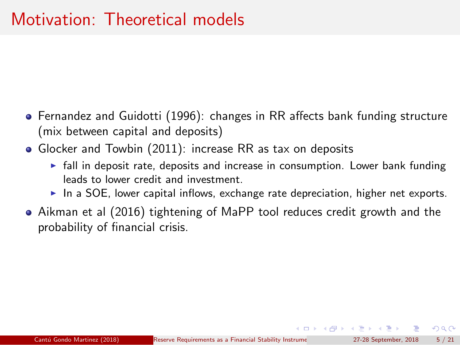- Fernandez and Guidotti (1996): changes in RR affects bank funding structure (mix between capital and deposits)
- Glocker and Towbin (2011): increase RR as tax on deposits
	- $\triangleright$  fall in deposit rate, deposits and increase in consumption. Lower bank funding leads to lower credit and investment.
	- $\triangleright$  In a SOE, lower capital inflows, exchange rate depreciation, higher net exports.
- Aikman et al (2016) tightening of MaPP tool reduces credit growth and the probability of financial crisis.

 $\Omega$ 

 $\left\{ \begin{array}{ccc} \pm & \pm & \pm \end{array} \right.$  and  $\left\{ \begin{array}{ccc} \pm & \pm & \pm \end{array} \right.$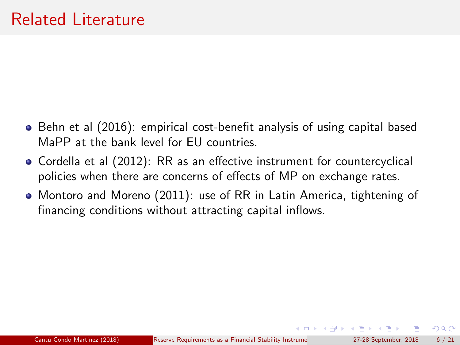- Behn et al (2016): empirical cost-benefit analysis of using capital based MaPP at the bank level for EU countries.
- Cordella et al (2012): RR as an effective instrument for countercyclical policies when there are concerns of effects of MP on exchange rates.
- Montoro and Moreno (2011): use of RR in Latin America, tightening of financing conditions without attracting capital inflows.

( ロ ) ( 何 ) ( ヨ ) ( ヨ )

 $\Omega$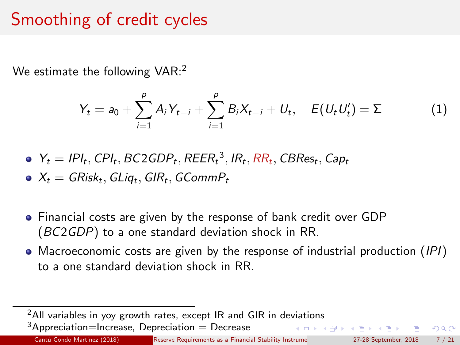# Smoothing of credit cycles

We estimate the following  $VAR:$ <sup>2</sup>

$$
Y_t = a_0 + \sum_{i=1}^p A_i Y_{t-i} + \sum_{i=1}^p B_i X_{t-i} + U_t, \quad E(U_t U'_t) = \Sigma
$$
 (1)

$$
\bullet \ \ Y_t = IPI_t, CPI_t, BC2GDP_t, REER_t^3, IR_t, RR_t, CBRes_t, Cap_t
$$

$$
\bullet \ \ X_t = \mathsf{GRisk}_t, \mathsf{GLiq}_t, \mathsf{GIR}_t, \mathsf{GCommP}_t
$$

- Financial costs are given by the response of bank credit over GDP (BC2GDP) to a one standard deviation shock in RR.
- Macroeconomic costs are given by the response of industrial production (IPI) to a one standard deviation shock in RR.

 $2$ All variables in yoy growth rates, except IR and GIR in deviations  $3$ Appreciation=Increase, Depreciation = Decrease 

 $\Omega$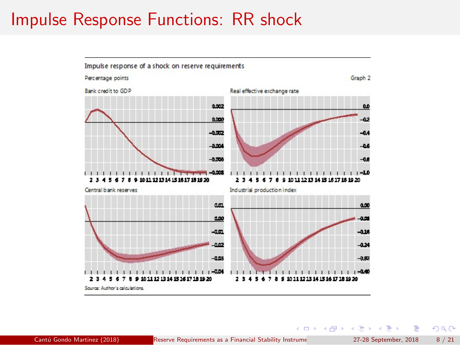### Impulse Response Functions: RR shock



画

 $299$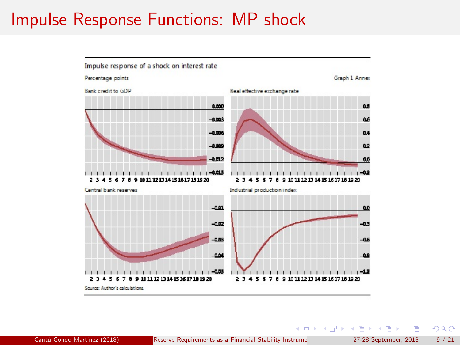### Impulse Response Functions: MP shock



B

 $QQ$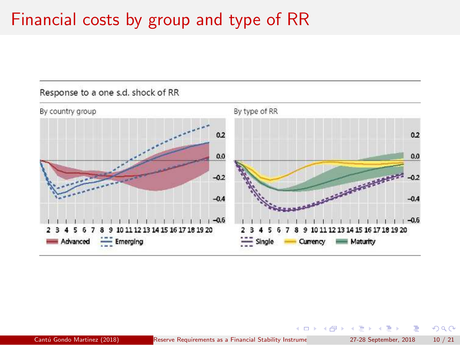# Financial costs by group and type of RR



 $QQ$ 

 $\left\{ \begin{array}{ccc} 1 & 0 & 0 \\ 0 & 1 & 0 \end{array} \right.$   $\left\{ \begin{array}{ccc} \frac{1}{2} & 0 & 0 \\ 0 & 0 & 0 \end{array} \right.$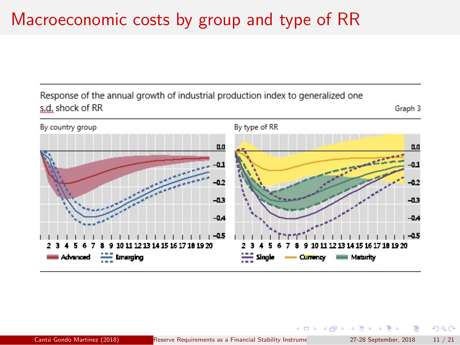# Macroeconomic costs by group and type of RR

Response of the annual growth of industrial production index to generalized one s.d. shock of RR

Graph 3



 $QQ$ 

 $\left( \frac{1}{2} + \frac{1}{2} + \frac{1}{2} + \frac{1}{2} + \frac{1}{2} + \frac{1}{2} + \frac{1}{2} + \frac{1}{2} + \frac{1}{2} + \frac{1}{2} + \frac{1}{2} + \frac{1}{2} + \frac{1}{2} + \frac{1}{2} + \frac{1}{2} + \frac{1}{2} + \frac{1}{2} + \frac{1}{2} + \frac{1}{2} + \frac{1}{2} + \frac{1}{2} + \frac{1}{2} + \frac{1}{2} + \frac{1}{2} + \frac{1}{2} + \frac{1}{2} + \frac{1}{2} + \$ 

4. 0. 8.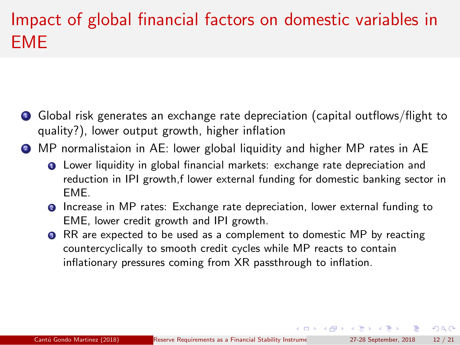# Impact of global financial factors on domestic variables in EME

- <sup>1</sup> Global risk generates an exchange rate depreciation (capital outflows/flight to quality?), lower output growth, higher inflation
- <sup>2</sup> MP normalistaion in AE: lower global liquidity and higher MP rates in AE
	- **Q** Lower liquidity in global financial markets: exchange rate depreciation and reduction in IPI growth,f lower external funding for domestic banking sector in EME.
	- <sup>2</sup> Increase in MP rates: Exchange rate depreciation, lower external funding to EME, lower credit growth and IPI growth.
	- **3** RR are expected to be used as a complement to domestic MP by reacting countercyclically to smooth credit cycles while MP reacts to contain inflationary pressures coming from XR passthrough to inflation.

 $\Omega$ 

 $\left\{ \begin{array}{ccc} 1 & 0 & 0 \\ 0 & 1 & 0 \end{array} \right.$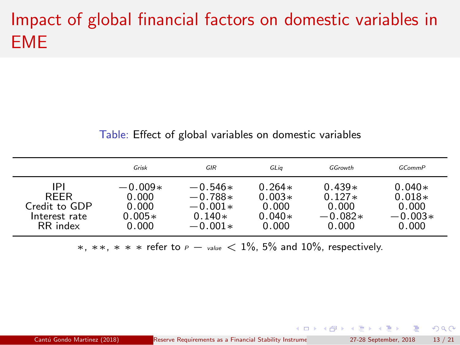# Impact of global financial factors on domestic variables in EME

#### Table: Effect of global variables on domestic variables

|               | Grisk     | GIR       | GLia     | GGrowth   | GCommP    |
|---------------|-----------|-----------|----------|-----------|-----------|
| IPI           | $-0.009*$ | $-0.546*$ | $0.264*$ | $0.439*$  | $0.040*$  |
| <b>RFFR</b>   | 0.000     | $-0.788*$ | $0.003*$ | $0.127*$  | $0.018*$  |
| Credit to GDP | 0.000     | $-0.001*$ | 0.000    | 0.000     | 0.000     |
| Interest rate | $0.005*$  | $0.140*$  | $0.040*$ | $-0.082*$ | $-0.003*$ |
| RR index      | 0.000     | $-0.001*$ | 0.000    | 0.000     | 0.000     |

 $*, **$ , \* \* ∗ refer to  $P -$  value  $< 1\%$ , 5% and 10%, respectively.

画

 $QQ$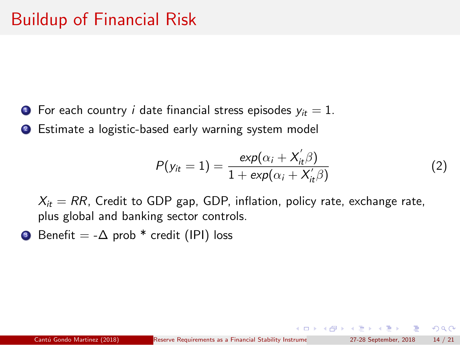- **1** For each country *i* date financial stress episodes  $y_{it} = 1$ .
- **2** Estimate a logistic-based early warning system model

$$
P(y_{it}=1)=\frac{\exp(\alpha_i+X_{it}'\beta)}{1+\exp(\alpha_i+X_{it}'\beta)}
$$
\n(2)

 $X_{it} = RR$ , Credit to GDP gap, GDP, inflation, policy rate, exchange rate, plus global and banking sector controls.

**3** Benefit =  $-\Delta$  prob  $*$  credit (IPI) loss

 $\Omega$ 

イロト イ押ト イヨト イヨト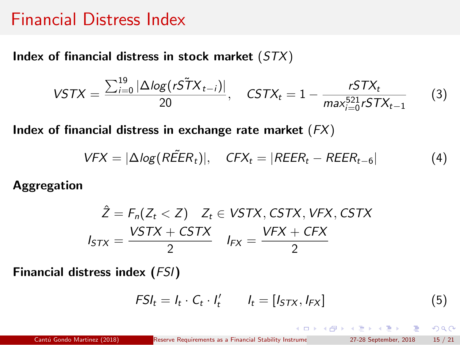#### Financial Distress Index

Index of financial distress in stock market  $(STX)$ 

$$
\text{VSTX} = \frac{\sum_{i=0}^{19} |\Delta \log(r\tilde{ST}X_{t-i})|}{20}, \quad \text{CSTX}_t = 1 - \frac{rSTX_t}{\max_{i=0}^{521} rSTX_{t-1}} \tag{3}
$$

Index of financial distress in exchange rate market  $(FX)$ 

$$
VFX = |\Delta log(R\tilde{E}ER_t)|, \quad CFX_t = |REER_t - REER_{t-6}| \tag{4}
$$

Aggregation

$$
\hat{Z} = F_n(Z_t < Z) \quad Z_t \in VSTX, \text{CSTX}, \text{VFX}, \text{CSTX}
$$
\n
$$
I_{STX} = \frac{VSTX + \text{CSTX}}{2} \quad I_{FX} = \frac{VFX + \text{CFX}}{2}
$$

Financial distress index  $(FSI)$ 

$$
FSI_t = I_t \cdot C_t \cdot I'_t \qquad I_t = [I_{STX}, I_{FX}] \qquad (5)
$$

造

 $2990$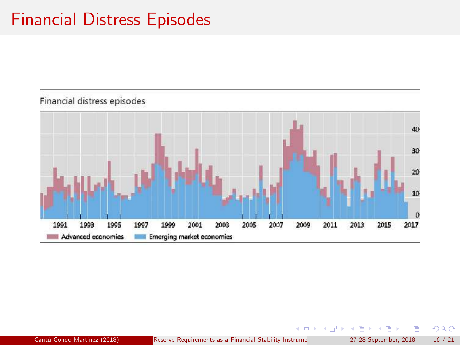## Financial Distress Episodes



Cantú Gondo Martinez (2018) Reserve Requirements as a Financial Stability Instrume 27-28 September, 2018 16 / 21

メロト メ都 トメ ミトメ

 $299$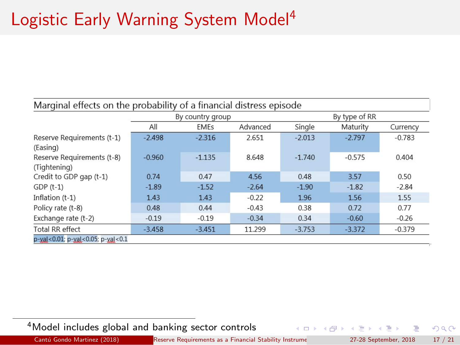# Logistic Early Warning System Model<sup>4</sup>

| Marginal effects on the probability of a financial distress episode |          |                  |          |               |          |          |  |  |  |  |
|---------------------------------------------------------------------|----------|------------------|----------|---------------|----------|----------|--|--|--|--|
|                                                                     |          | By country group |          | By type of RR |          |          |  |  |  |  |
|                                                                     | All      | <b>EMEs</b>      | Advanced | Single        | Maturity | Currency |  |  |  |  |
| Reserve Requirements (t-1)<br>(Easing)                              | $-2.498$ | $-2.316$         | 2.651    | $-2.013$      | $-2.797$ | $-0.783$ |  |  |  |  |
| Reserve Requirements (t-8)<br>(Tightening)                          | $-0.960$ | $-1.135$         | 8.648    | $-1.740$      | $-0.575$ | 0.404    |  |  |  |  |
| Credit to GDP gap (t-1)                                             | 0.74     | 0.47             | 4.56     | 0.48          | 3.57     | 0.50     |  |  |  |  |
| $GDP(t-1)$                                                          | $-1.89$  | $-1.52$          | $-2.64$  | $-1.90$       | $-1.82$  | $-2.84$  |  |  |  |  |
| Inflation (t-1)                                                     | 1.43     | 1.43             | $-0.22$  | 1.96          | 1.56     | 1.55     |  |  |  |  |
| Policy rate (t-8)                                                   | 0.48     | 0.44             | $-0.43$  | 0.38          | 0.72     | 0.77     |  |  |  |  |
| Exchange rate (t-2)                                                 | $-0.19$  | $-0.19$          | $-0.34$  | 0.34          | $-0.60$  | $-0.26$  |  |  |  |  |
| Total RR effect                                                     | $-3.458$ | $-3.451$         | 11.299   | $-3.753$      | $-3.372$ | $-0.379$ |  |  |  |  |
| p-yal<0.01; p-yal<0.05; p-yal<0.1                                   |          |                  |          |               |          |          |  |  |  |  |

<sup>4</sup>Model includes global and banking sector controls

Ε

 $QQ$ 

メロト メ御 トメ ミト メミト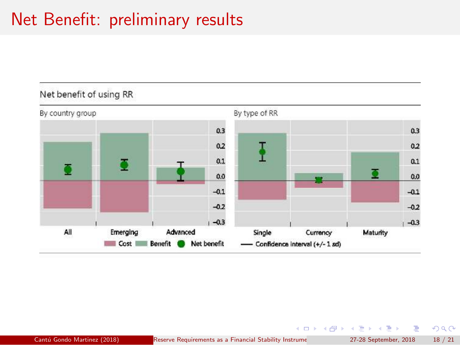# Net Benefit: preliminary results



画

 $299$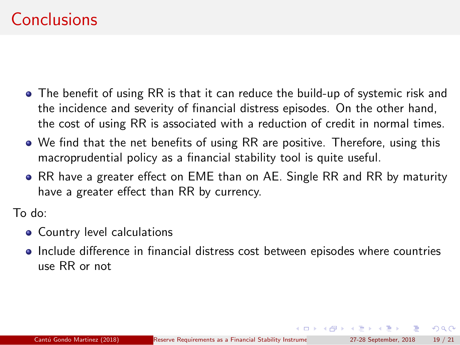## Conclusions

- The benefit of using RR is that it can reduce the build-up of systemic risk and the incidence and severity of financial distress episodes. On the other hand, the cost of using RR is associated with a reduction of credit in normal times.
- We find that the net benefits of using RR are positive. Therefore, using this macroprudential policy as a financial stability tool is quite useful.
- RR have a greater effect on EME than on AE. Single RR and RR by maturity have a greater effect than RR by currency.

To do:

- Country level calculations
- Include difference in financial distress cost between episodes where countries use RR or not

 $\Omega$ 

イロト イ押ト イヨト イヨト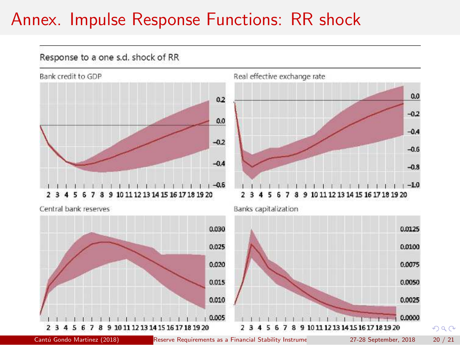## Annex. Impulse Response Functions: RR shock



Cantú Gondo Martinez (2018) Reserve Requirements as a Financial Stability Instrume 27-28 September, 2018 20 / 21

 $299$